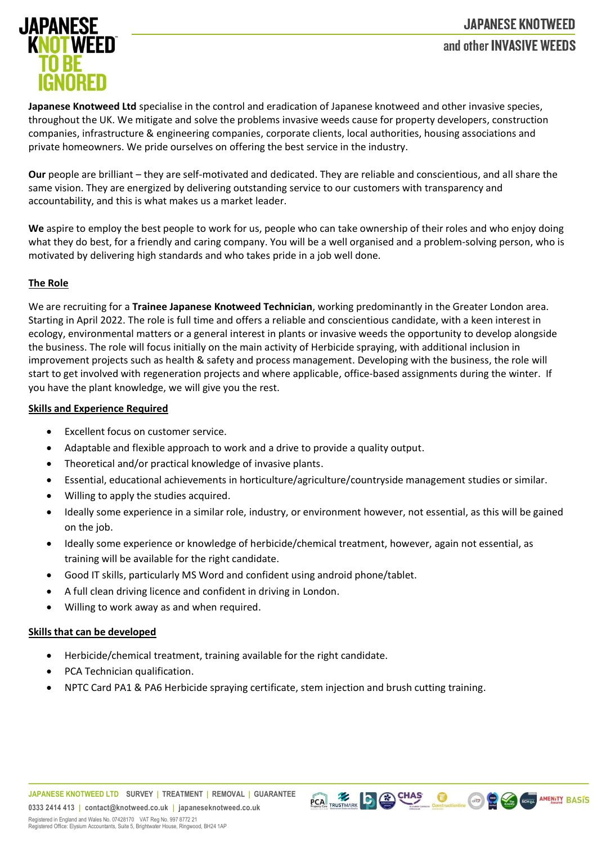# **JAPANESE KNOTWEED** and other INVASIVE WEEDS



**Japanese Knotweed Ltd** specialise in the control and eradication of Japanese knotweed and other invasive species, throughout the UK. We mitigate and solve the problems invasive weeds cause for property developers, construction companies, infrastructure & engineering companies, corporate clients, local authorities, housing associations and private homeowners. We pride ourselves on offering the best service in the industry.

**Our** people are brilliant – they are self-motivated and dedicated. They are reliable and conscientious, and all share the same vision. They are energized by delivering outstanding service to our customers with transparency and accountability, and this is what makes us a market leader.

**We** aspire to employ the best people to work for us, people who can take ownership of their roles and who enjoy doing what they do best, for a friendly and caring company. You will be a well organised and a problem-solving person, who is motivated by delivering high standards and who takes pride in a job well done.

#### **The Role**

We are recruiting for a **Trainee Japanese Knotweed Technician**, working predominantly in the Greater London area. Starting in April 2022. The role is full time and offers a reliable and conscientious candidate, with a keen interest in ecology, environmental matters or a general interest in plants or invasive weeds the opportunity to develop alongside the business. The role will focus initially on the main activity of Herbicide spraying, with additional inclusion in improvement projects such as health & safety and process management. Developing with the business, the role will start to get involved with regeneration projects and where applicable, office-based assignments during the winter. If you have the plant knowledge, we will give you the rest.

#### **Skills and Experience Required**

- Excellent focus on customer service.
- Adaptable and flexible approach to work and a drive to provide a quality output.
- Theoretical and/or practical knowledge of invasive plants.
- Essential, educational achievements in horticulture/agriculture/countryside management studies or similar.
- Willing to apply the studies acquired.
- Ideally some experience in a similar role, industry, or environment however, not essential, as this will be gained on the job.

PCA TRUSTMARK CO CHAS CONSTACTION CO CO CONSTAMENTY BASIS

- Ideally some experience or knowledge of herbicide/chemical treatment, however, again not essential, as training will be available for the right candidate.
- Good IT skills, particularly MS Word and confident using android phone/tablet.
- A full clean driving licence and confident in driving in London.
- Willing to work away as and when required.

## **Skills that can be developed**

- Herbicide/chemical treatment, training available for the right candidate.
- PCA Technician qualification.
- NPTC Card PA1 & PA6 Herbicide spraying certificate, stem injection and brush cutting training.